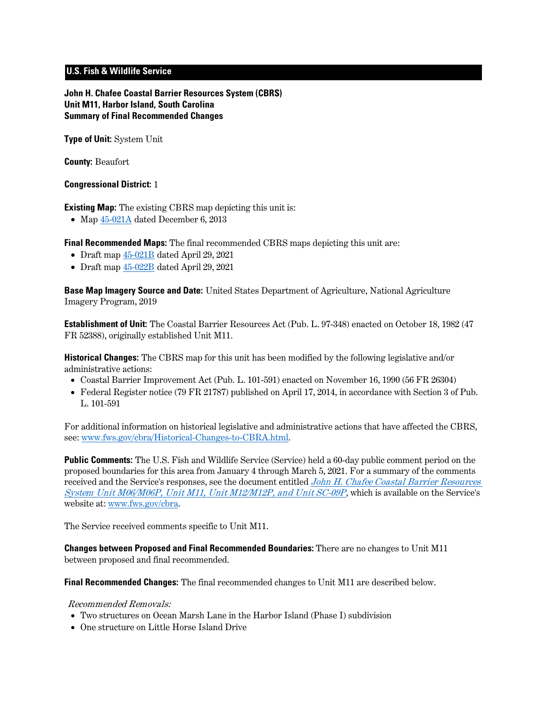# **U.S. Fish & Wildlife Service**

**John H. Chafee Coastal Barrier Resources System (CBRS) Unit M11, Harbor Island, South Carolina Summary of Final Recommended Changes**

**Type of Unit:** System Unit

**County:** Beaufort

#### **Congressional District:** 1

**Existing Map:** The existing CBRS map depicting this unit is:

• Map  $45-021A$  dated December 6, 2013

**Final Recommended Maps:** The final recommended CBRS maps depicting this unit are:

- Draft map  $45-021B$  dated April 29, 2021
- Draft map [45-022B](https://www.fws.gov/cbra/projects/technical-corrections/Final-Recommended-45-022B.pdf) dated April 29, 2021

**Base Map Imagery Source and Date:** United States Department of Agriculture, National Agriculture Imagery Program, 2019

**Establishment of Unit:** The Coastal Barrier Resources Act (Pub. L. 97-348) enacted on October 18, 1982 (47 FR 52388), originally established Unit M11.

**Historical Changes:** The CBRS map for this unit has been modified by the following legislative and/or administrative actions:

- Coastal Barrier Improvement Act (Pub. L. 101-591) enacted on November 16, 1990 (56 FR 26304)
- Federal Register notice (79 FR 21787) published on April 17, 2014, in accordance with Section 3 of Pub. L. 101-591

For additional information on historical legislative and administrative actions that have affected the CBRS, see: [www.fws.gov/cbra/Historical-Changes-to-CBRA.html.](http://www.fws.gov/cbra/Historical-Changes-to-CBRA.html)

**Public Comments:** The U.S. Fish and Wildlife Service (Service) held a 60-day public comment period on the proposed boundaries for this area from January 4 through March 5, 2021. For a summary of the comments received and the Service's responses, see the document entitled *John H. Chafee Coastal Barrier Resources* [System Unit M06/M06P, Unit M11, Unit M12/M12P, and Unit SC-09P](https://www.fws.gov/cbra/projects/technical-corrections/SC-2021-Public-Comments-and-Responses.pdf), which is available on the Service's website at: [www.fws.gov/cbra.](http://www.fws.gov/cbra)

The Service received comments specific to Unit M11.

**Changes between Proposed and Final Recommended Boundaries:** There are no changes to Unit M11 between proposed and final recommended.

**Final Recommended Changes:** The final recommended changes to Unit M11 are described below.

#### Recommended Removals:

- Two structures on Ocean Marsh Lane in the Harbor Island (Phase I) subdivision
- One structure on Little Horse Island Drive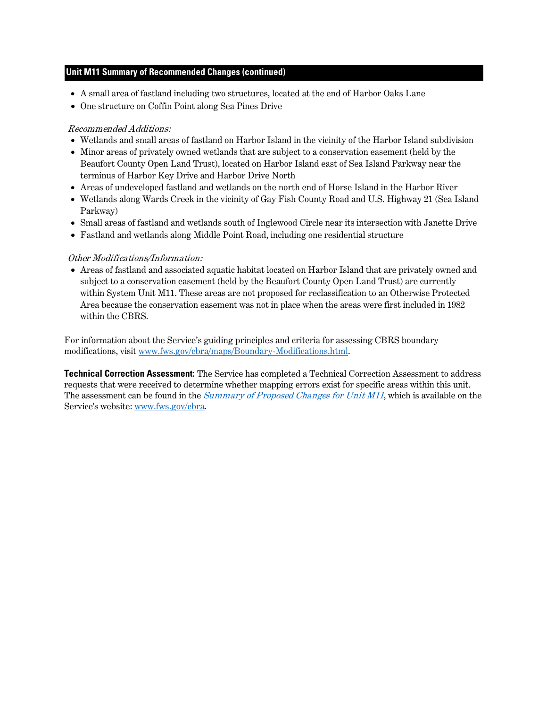## **Unit M11 Summary of Recommended Changes (continued)**

- A small area of fastland including two structures, located at the end of Harbor Oaks Lane
- One structure on Coffin Point along Sea Pines Drive

# Recommended Additions:

- Wetlands and small areas of fastland on Harbor Island in the vicinity of the Harbor Island subdivision
- Minor areas of privately owned wetlands that are subject to a conservation easement (held by the Beaufort County Open Land Trust), located on Harbor Island east of Sea Island Parkway near the terminus of Harbor Key Drive and Harbor Drive North
- Areas of undeveloped fastland and wetlands on the north end of Horse Island in the Harbor River
- Wetlands along Wards Creek in the vicinity of Gay Fish County Road and U.S. Highway 21 (Sea Island Parkway)
- Small areas of fastland and wetlands south of Inglewood Circle near its intersection with Janette Drive
- Fastland and wetlands along Middle Point Road, including one residential structure

## Other Modifications/Information:

• Areas of fastland and associated aquatic habitat located on Harbor Island that are privately owned and subject to a conservation easement (held by the Beaufort County Open Land Trust) are currently within System Unit M11. These areas are not proposed for reclassification to an Otherwise Protected Area because the conservation easement was not in place when the areas were first included in 1982 within the CBRS.

For information about the Service's guiding principles and criteria for assessing CBRS boundary modifications, visit www.fws.gov/cbra/maps/Boundary-Modifications.html.

**Technical Correction Assessment:** The Service has completed a Technical Correction Assessment to address requests that were received to determine whether mapping errors exist for specific areas within this unit. The assessment can be found in the *[Summary of Proposed Changes for Unit M11](https://www.fws.gov/cbra/projects/technical-corrections/M11-Proposed-Unit-Summary.pdf)*, which is available on the Service's website: [www.fws.gov/cbra.](http://www.fws.gov/cbra)